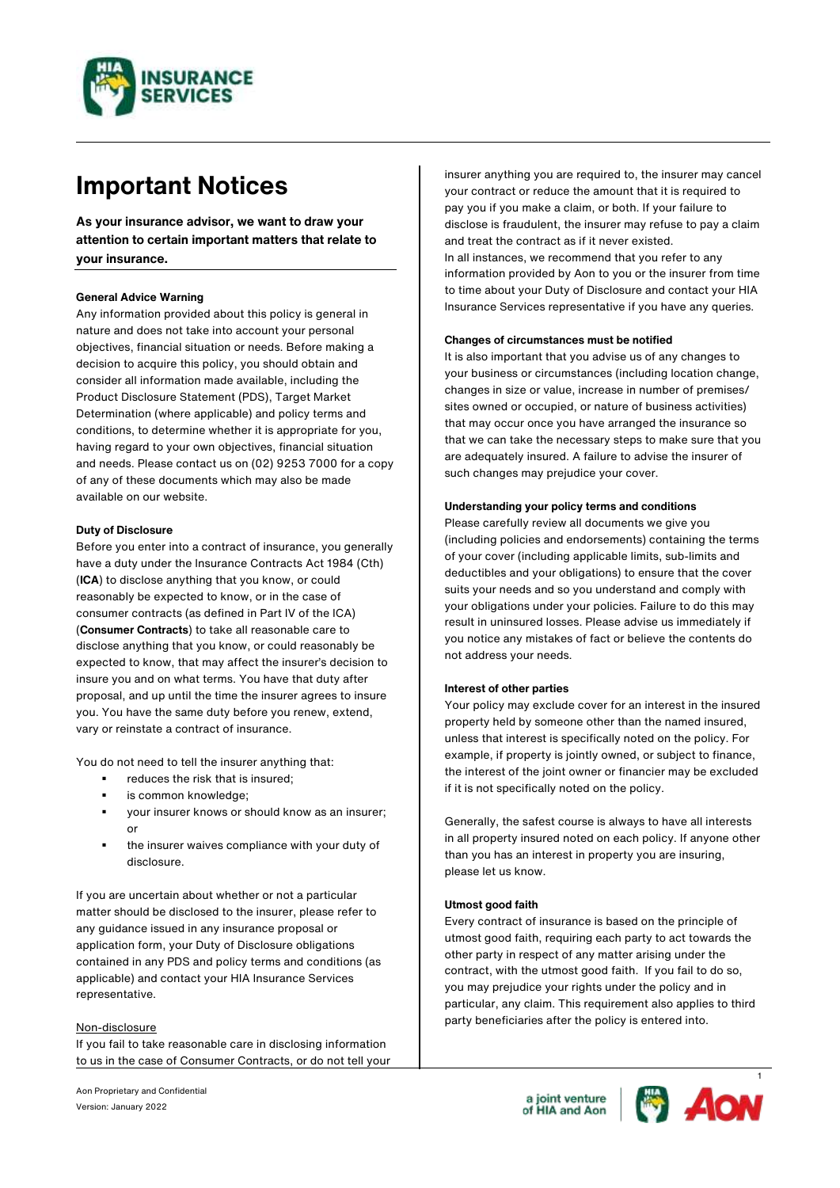

# **Important Notices**

**As your insurance advisor, we want to draw your attention to certain important matters that relate to your insurance.**

# **General Advice Warning**

Any information provided about this policy is general in nature and does not take into account your personal objectives, financial situation or needs. Before making a decision to acquire this policy, you should obtain and consider all information made available, including the Product Disclosure Statement (PDS), Target Market Determination (where applicable) and policy terms and conditions, to determine whether it is appropriate for you, having regard to your own objectives, financial situation and needs. Please contact us on (02) 9253 7000 for a copy of any of these documents which may also be made available on our website.

# **Duty of Disclosure**

Before you enter into a contract of insurance, you generally have a duty under the Insurance Contracts Act 1984 (Cth) (**ICA**) to disclose anything that you know, or could reasonably be expected to know, or in the case of consumer contracts (as defined in Part IV of the ICA) (**Consumer Contracts**) to take all reasonable care to disclose anything that you know, or could reasonably be expected to know, that may affect the insurer's decision to insure you and on what terms. You have that duty after proposal, and up until the time the insurer agrees to insure you. You have the same duty before you renew, extend, vary or reinstate a contract of insurance.

You do not need to tell the insurer anything that:

- reduces the risk that is insured;
- is common knowledge:
- your insurer knows or should know as an insurer; or
- the insurer waives compliance with your duty of disclosure.

If you are uncertain about whether or not a particular matter should be disclosed to the insurer, please refer to any guidance issued in any insurance proposal or application form, your Duty of Disclosure obligations contained in any PDS and policy terms and conditions (as applicable) and contact your HIA Insurance Services representative.

## Non-disclosure

If you fail to take reasonable care in disclosing information to us in the case of Consumer Contracts, or do not tell your insurer anything you are required to, the insurer may cancel your contract or reduce the amount that it is required to pay you if you make a claim, or both. If your failure to disclose is fraudulent, the insurer may refuse to pay a claim and treat the contract as if it never existed. In all instances, we recommend that you refer to any information provided by Aon to you or the insurer from time to time about your Duty of Disclosure and contact your HIA Insurance Services representative if you have any queries.

#### **Changes of circumstances must be notified**

It is also important that you advise us of any changes to your business or circumstances (including location change, changes in size or value, increase in number of premises/ sites owned or occupied, or nature of business activities) that may occur once you have arranged the insurance so that we can take the necessary steps to make sure that you are adequately insured. A failure to advise the insurer of such changes may prejudice your cover.

## **Understanding your policy terms and conditions**

Please carefully review all documents we give you (including policies and endorsements) containing the terms of your cover (including applicable limits, sub-limits and deductibles and your obligations) to ensure that the cover suits your needs and so you understand and comply with your obligations under your policies. Failure to do this may result in uninsured losses. Please advise us immediately if you notice any mistakes of fact or believe the contents do not address your needs.

## **Interest of other parties**

Your policy may exclude cover for an interest in the insured property held by someone other than the named insured, unless that interest is specifically noted on the policy. For example, if property is jointly owned, or subject to finance, the interest of the joint owner or financier may be excluded if it is not specifically noted on the policy.

Generally, the safest course is always to have all interests in all property insured noted on each policy. If anyone other than you has an interest in property you are insuring, please let us know.

#### **Utmost good faith**

Every contract of insurance is based on the principle of utmost good faith, requiring each party to act towards the other party in respect of any matter arising under the contract, with the utmost good faith. If you fail to do so, you may prejudice your rights under the policy and in particular, any claim. This requirement also applies to third party beneficiaries after the policy is entered into.

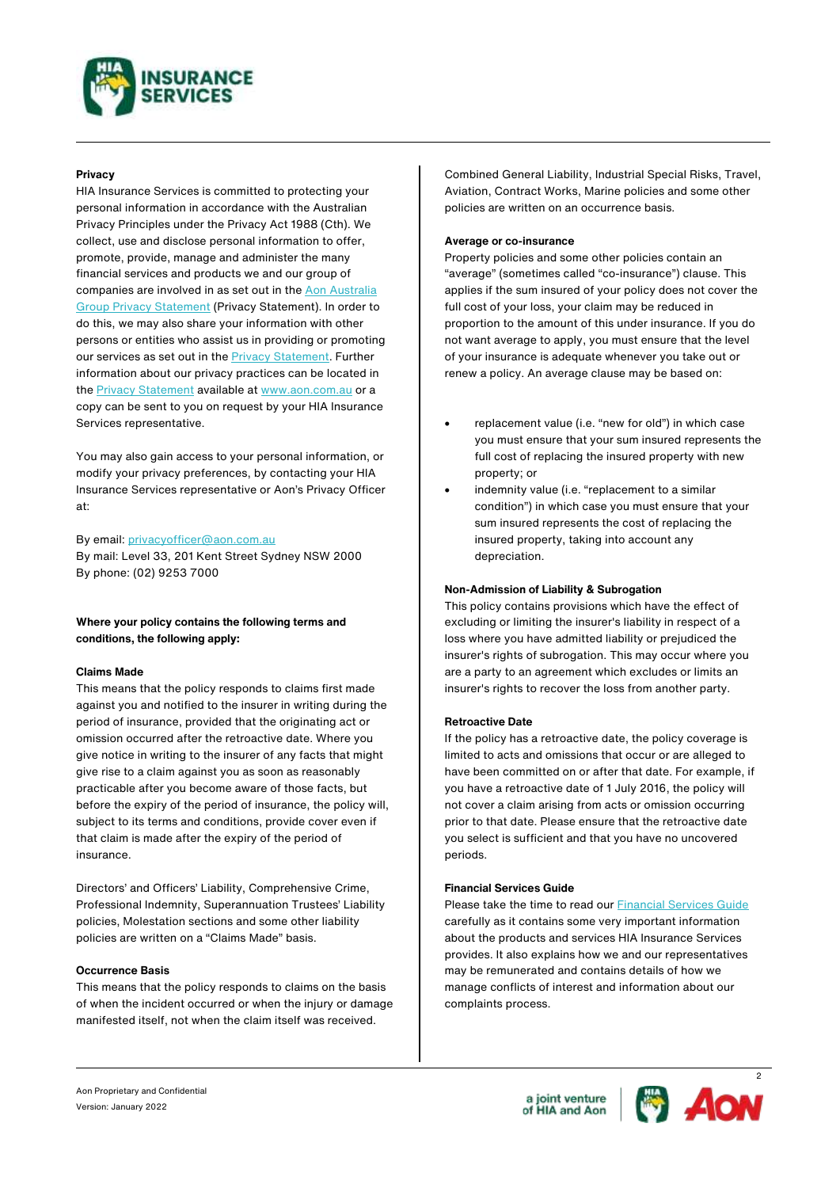

# **Privacy**

HIA Insurance Services is committed to protecting your personal information in accordance with the Australian Privacy Principles under the Privacy Act 1988 (Cth). We collect, use and disclose personal information to offer, promote, provide, manage and administer the many financial services and products we and our group of companies are involved in as set out in th[e Aon Australia](https://www.aon.com.au/australia/legal/privacy-policy.jsp?_ga=2.103999808.1327233814.1635397459-1561684812.1635149679&_gac=1.195824152.1635397459.EAIaIQobChMI07fRoKrs8wIVqZNmAh0ucAhEEAAYASAAEgL4rPD_BwE)  [Group Privacy Statement](https://www.aon.com.au/australia/legal/privacy-policy.jsp?_ga=2.103999808.1327233814.1635397459-1561684812.1635149679&_gac=1.195824152.1635397459.EAIaIQobChMI07fRoKrs8wIVqZNmAh0ucAhEEAAYASAAEgL4rPD_BwE) (Privacy Statement). In order to do this, we may also share your information with other persons or entities who assist us in providing or promoting our services as set out in the [Privacy Statement.](https://www.aon.com.au/australia/legal/privacy-policy.jsp?_ga=2.103999808.1327233814.1635397459-1561684812.1635149679&_gac=1.195824152.1635397459.EAIaIQobChMI07fRoKrs8wIVqZNmAh0ucAhEEAAYASAAEgL4rPD_BwE) Further information about our privacy practices can be located in the **Privacy Statement** available at [www.aon.com.au](https://www.aon.com.au/australia/legal/privacy-policy.jsp?_ga=2.103999808.1327233814.1635397459-1561684812.1635149679&_gac=1.195824152.1635397459.EAIaIQobChMI07fRoKrs8wIVqZNmAh0ucAhEEAAYASAAEgL4rPD_BwE) or a copy can be sent to you on request by your HIA Insurance Services representative.

You may also gain access to your personal information, or modify your privacy preferences, by contacting your HIA Insurance Services representative or Aon's Privacy Officer at:

#### By email: [privacyofficer@aon.com.au](mailto:privacyofficer@aon.com.au)

By mail: Level 33, 201 Kent Street Sydney NSW 2000 By phone: (02) 9253 7000

# **Where your policy contains the following terms and conditions, the following apply:**

#### **Claims Made**

This means that the policy responds to claims first made against you and notified to the insurer in writing during the period of insurance, provided that the originating act or omission occurred after the retroactive date. Where you give notice in writing to the insurer of any facts that might give rise to a claim against you as soon as reasonably practicable after you become aware of those facts, but before the expiry of the period of insurance, the policy will, subject to its terms and conditions, provide cover even if that claim is made after the expiry of the period of insurance.

Directors' and Officers' Liability, Comprehensive Crime, Professional Indemnity, Superannuation Trustees' Liability policies, Molestation sections and some other liability policies are written on a "Claims Made" basis.

# **Occurrence Basis**

This means that the policy responds to claims on the basis of when the incident occurred or when the injury or damage manifested itself, not when the claim itself was received.

Combined General Liability, Industrial Special Risks, Travel, Aviation, Contract Works, Marine policies and some other policies are written on an occurrence basis.

#### **Average or co-insurance**

Property policies and some other policies contain an "average" (sometimes called "co-insurance") clause. This applies if the sum insured of your policy does not cover the full cost of your loss, your claim may be reduced in proportion to the amount of this under insurance. If you do not want average to apply, you must ensure that the level of your insurance is adequate whenever you take out or renew a policy. An average clause may be based on:

- replacement value (i.e. "new for old") in which case you must ensure that your sum insured represents the full cost of replacing the insured property with new property; or
- indemnity value (i.e. "replacement to a similar condition") in which case you must ensure that your sum insured represents the cost of replacing the insured property, taking into account any depreciation.

#### **Non-Admission of Liability & Subrogation**

This policy contains provisions which have the effect of excluding or limiting the insurer's liability in respect of a loss where you have admitted liability or prejudiced the insurer's rights of subrogation. This may occur where you are a party to an agreement which excludes or limits an insurer's rights to recover the loss from another party.

#### **Retroactive Date**

If the policy has a retroactive date, the policy coverage is limited to acts and omissions that occur or are alleged to have been committed on or after that date. For example, if you have a retroactive date of 1 July 2016, the policy will not cover a claim arising from acts or omission occurring prior to that date. Please ensure that the retroactive date you select is sufficient and that you have no uncovered periods.

## **Financial Services Guide**

Please take the time to read ou[r Financial Services Guide](https://www.hiainsurance.com.au/HIAIS/media/HiaInsuranceLive/documents/financial-services-guide-and-terms-of-business.pdf) carefully as it contains some very important information about the products and services HIA Insurance Services provides. It also explains how we and our representatives may be remunerated and contains details of how we manage conflicts of interest and information about our complaints process.